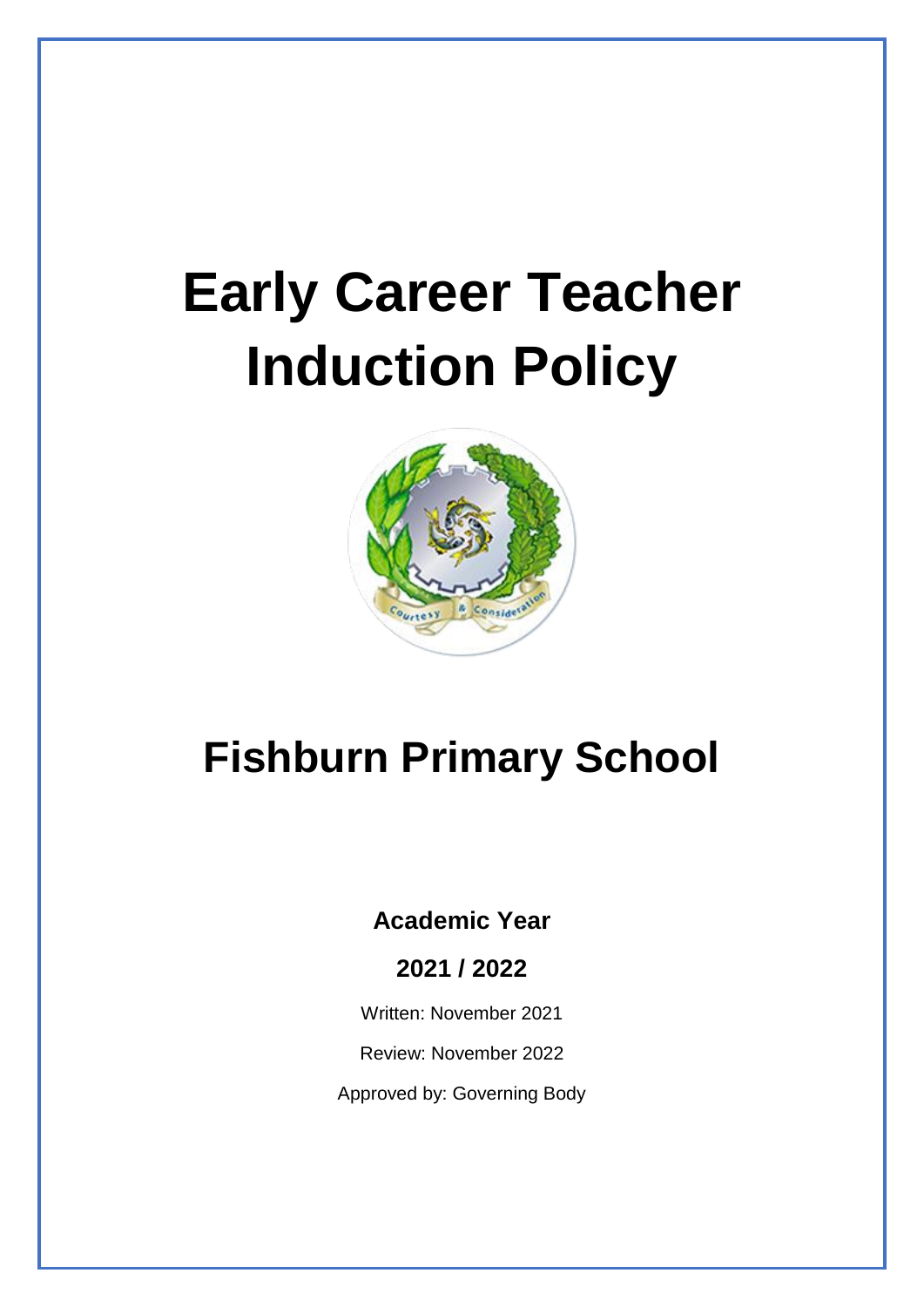# **Early Career Teacher Induction Policy**



# **Fishburn Primary School**

# **Academic Year**

# **2021 / 2022**

Written: November 2021

Review: November 2022

Approved by: Governing Body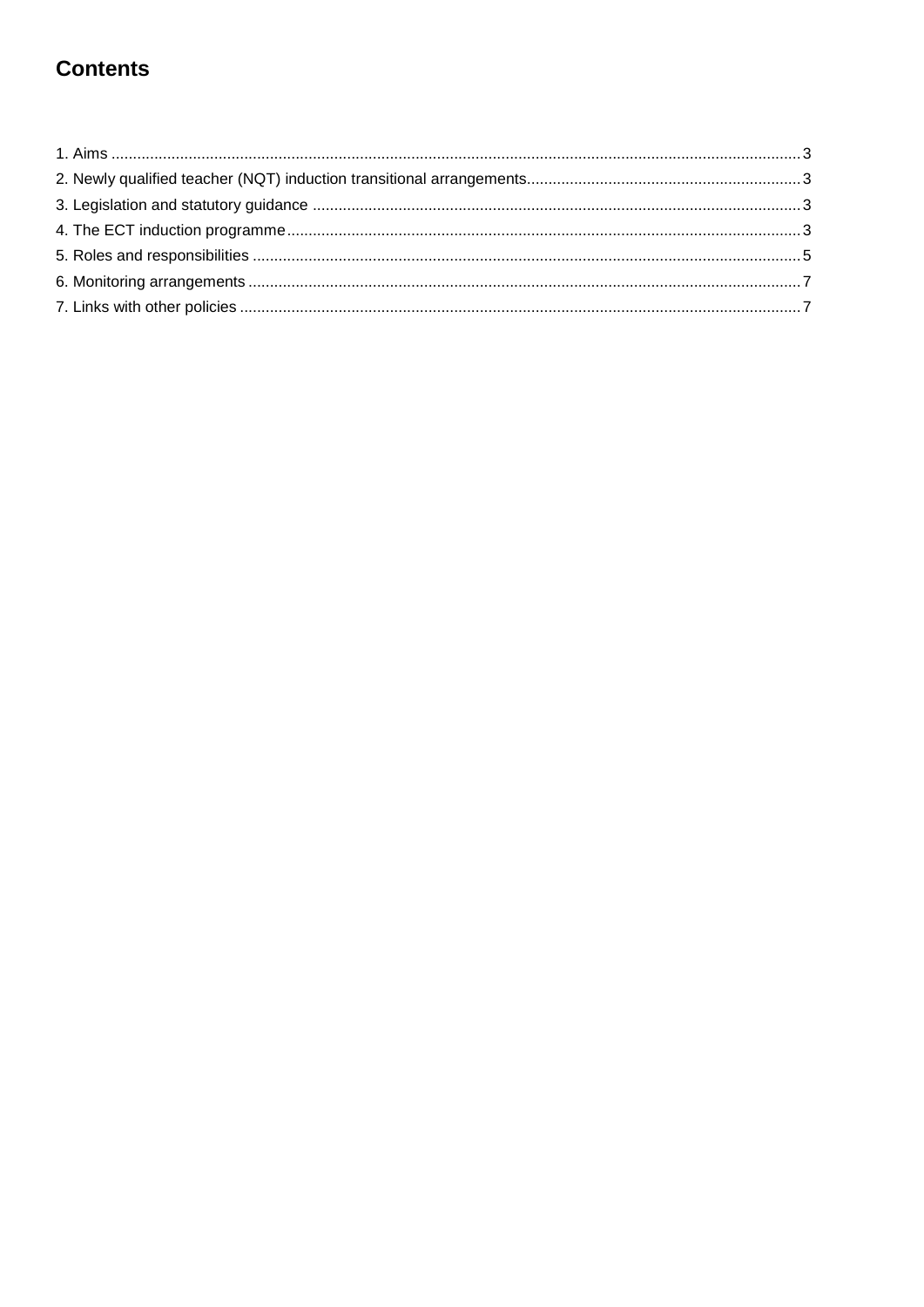# **Contents**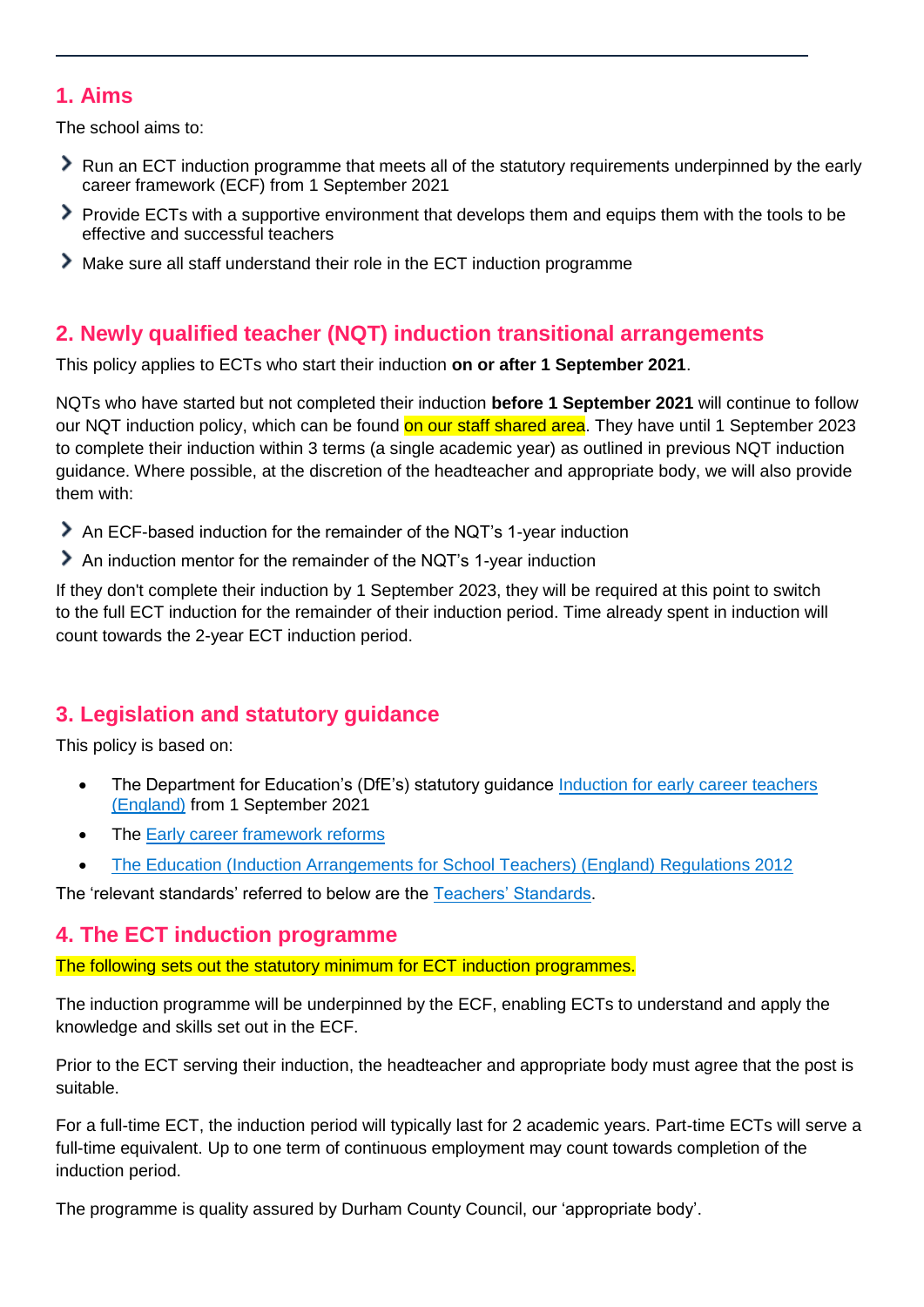# <span id="page-2-0"></span>**1. Aims**

The school aims to:

- Run an ECT induction programme that meets all of the statutory requirements underpinned by the early career framework (ECF) from 1 September 2021
- Provide ECTs with a supportive environment that develops them and equips them with the tools to be effective and successful teachers
- Make sure all staff understand their role in the ECT induction programme

# <span id="page-2-1"></span>**2. Newly qualified teacher (NQT) induction transitional arrangements**

This policy applies to ECTs who start their induction **on or after 1 September 2021**.

NQTs who have started but not completed their induction **before 1 September 2021** will continue to follow our NQT induction policy, which can be found on our staff shared area. They have until 1 September 2023 to complete their induction within 3 terms (a single academic year) as outlined in previous NQT induction guidance. Where possible, at the discretion of the headteacher and appropriate body, we will also provide them with:

- An ECF-based induction for the remainder of the NQT's 1-year induction
- An induction mentor for the remainder of the NQT's 1-year induction

If they don't complete their induction by 1 September 2023, they will be required at this point to switch to the full ECT induction for the remainder of their induction period. Time already spent in induction will count towards the 2-year ECT induction period.

# <span id="page-2-2"></span>**3. Legislation and statutory guidance**

This policy is based on:

- The Department for Education's (DfE's) statutory guidance Induction for early career teachers [\(England\)](https://www.gov.uk/government/publications/induction-for-early-career-teachers-england) from 1 September 2021
- The [Early career framework reforms](https://www.gov.uk/government/collections/early-career-framework-reforms)
- [The Education \(Induction Arrangements for School Teachers\) \(England\) Regulations 2012](http://www.legislation.gov.uk/uksi/2012/1115/contents/made)

The 'relevant standards' referred to below are the [Teachers' Standards.](https://www.gov.uk/government/publications/teachers-standards)

## <span id="page-2-3"></span>**4. The ECT induction programme**

The following sets out the statutory minimum for ECT induction programmes.

The induction programme will be underpinned by the ECF, enabling ECTs to understand and apply the knowledge and skills set out in the ECF.

Prior to the ECT serving their induction, the headteacher and appropriate body must agree that the post is suitable.

For a full-time ECT, the induction period will typically last for 2 academic years. Part-time ECTs will serve a full-time equivalent. Up to one term of continuous employment may count towards completion of the induction period.

The programme is quality assured by Durham County Council, our 'appropriate body'.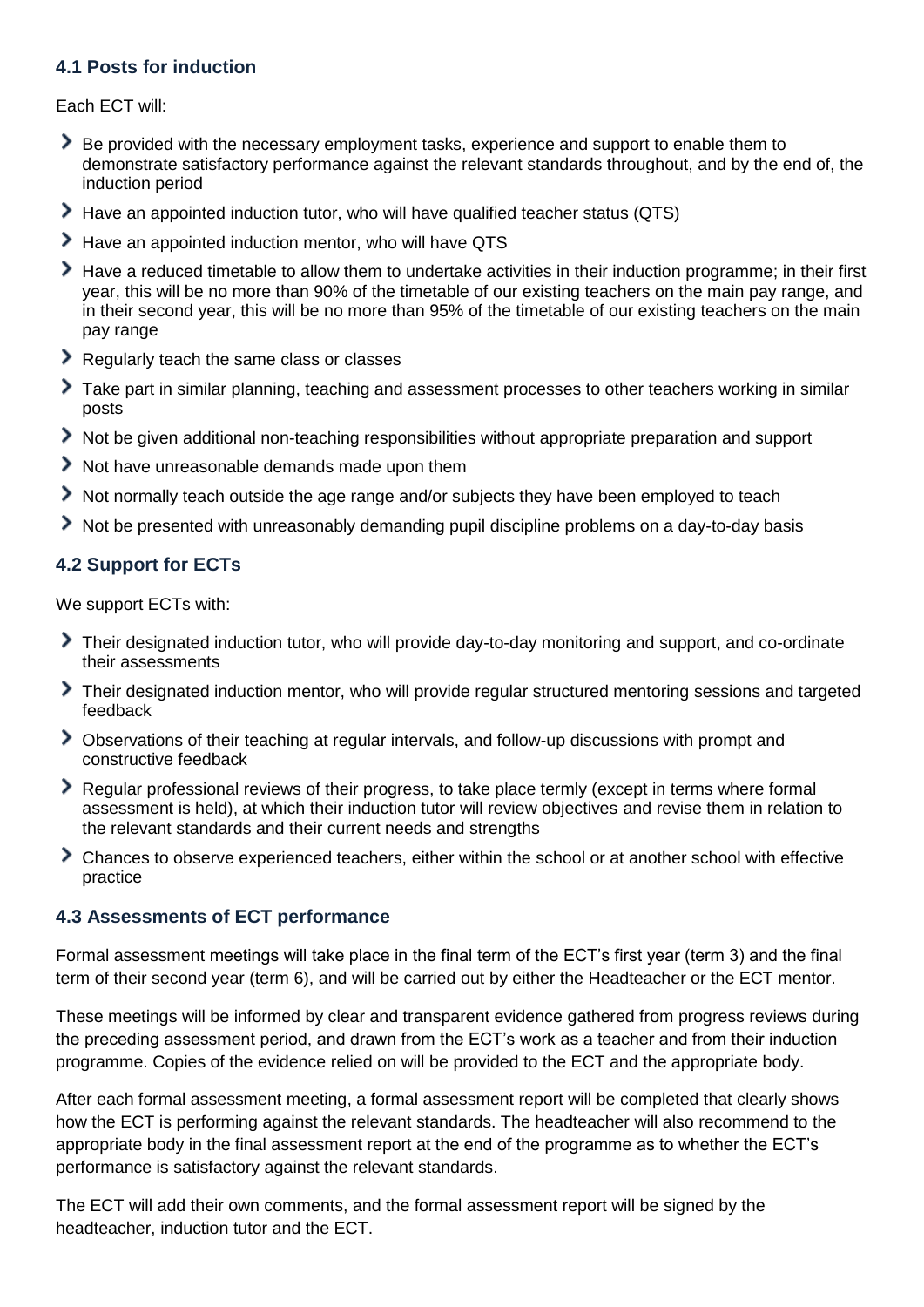#### **4.1 Posts for induction**

Each ECT will:

- Be provided with the necessary employment tasks, experience and support to enable them to demonstrate satisfactory performance against the relevant standards throughout, and by the end of, the induction period
- Have an appointed induction tutor, who will have qualified teacher status (QTS)
- Have an appointed induction mentor, who will have QTS
- Have a reduced timetable to allow them to undertake activities in their induction programme; in their first year, this will be no more than 90% of the timetable of our existing teachers on the main pay range, and in their second year, this will be no more than 95% of the timetable of our existing teachers on the main pay range
- Regularly teach the same class or classes
- Take part in similar planning, teaching and assessment processes to other teachers working in similar posts
- Not be given additional non-teaching responsibilities without appropriate preparation and support
- Not have unreasonable demands made upon them
- Not normally teach outside the age range and/or subjects they have been employed to teach
- Not be presented with unreasonably demanding pupil discipline problems on a day-to-day basis

#### **4.2 Support for ECTs**

We support ECTs with:

- Their designated induction tutor, who will provide day-to-day monitoring and support, and co-ordinate their assessments
- Their designated induction mentor, who will provide regular structured mentoring sessions and targeted feedback
- Observations of their teaching at regular intervals, and follow-up discussions with prompt and constructive feedback
- Regular professional reviews of their progress, to take place termly (except in terms where formal assessment is held), at which their induction tutor will review objectives and revise them in relation to the relevant standards and their current needs and strengths
- Chances to observe experienced teachers, either within the school or at another school with effective practice

#### **4.3 Assessments of ECT performance**

Formal assessment meetings will take place in the final term of the ECT's first year (term 3) and the final term of their second year (term 6), and will be carried out by either the Headteacher or the ECT mentor.

These meetings will be informed by clear and transparent evidence gathered from progress reviews during the preceding assessment period, and drawn from the ECT's work as a teacher and from their induction programme. Copies of the evidence relied on will be provided to the ECT and the appropriate body.

After each formal assessment meeting, a formal assessment report will be completed that clearly shows how the ECT is performing against the relevant standards. The headteacher will also recommend to the appropriate body in the final assessment report at the end of the programme as to whether the ECT's performance is satisfactory against the relevant standards.

The ECT will add their own comments, and the formal assessment report will be signed by the headteacher, induction tutor and the ECT.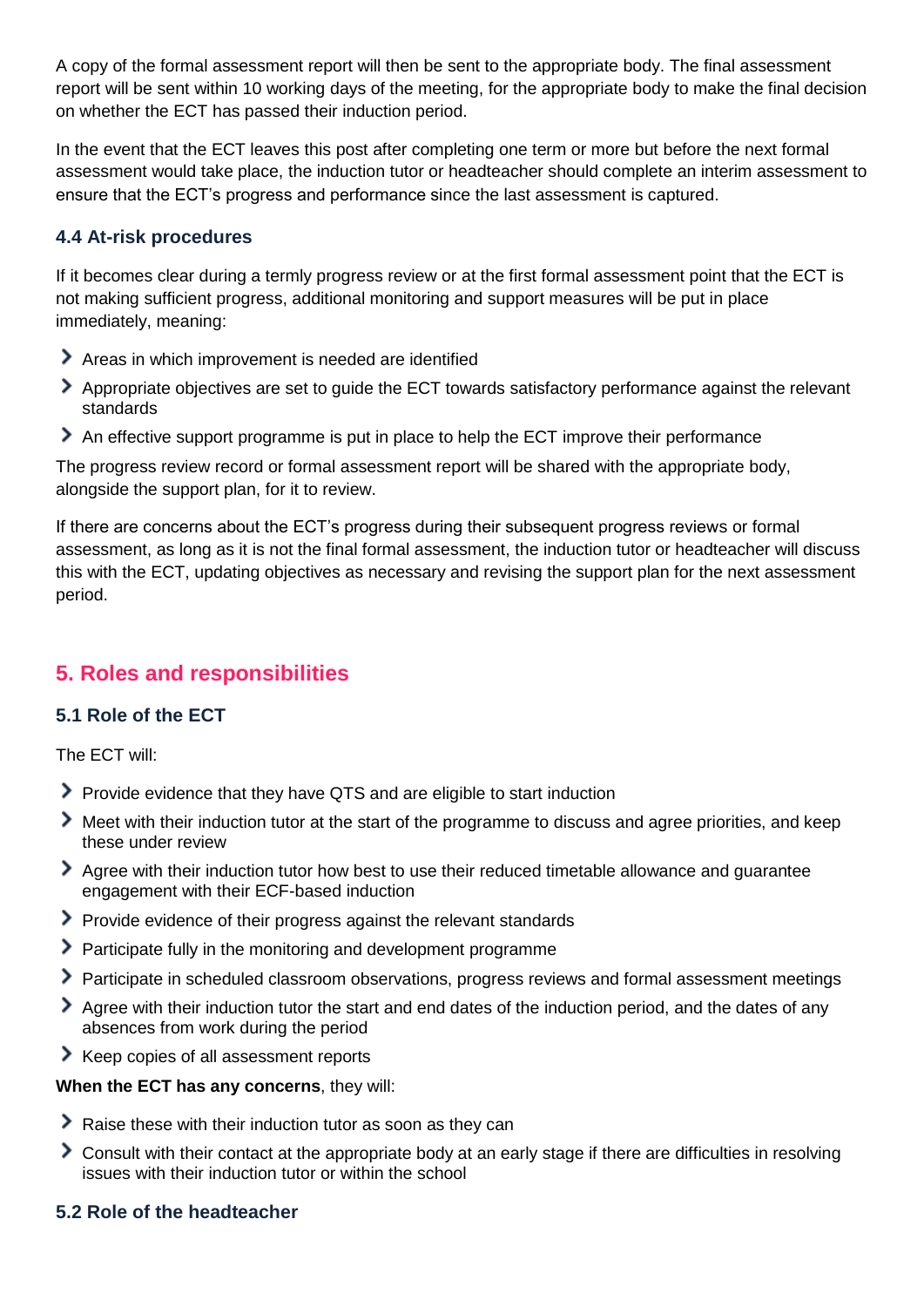A copy of the formal assessment report will then be sent to the appropriate body. The final assessment report will be sent within 10 working days of the meeting, for the appropriate body to make the final decision on whether the ECT has passed their induction period.

In the event that the ECT leaves this post after completing one term or more but before the next formal assessment would take place, the induction tutor or headteacher should complete an interim assessment to ensure that the ECT's progress and performance since the last assessment is captured.

#### **4.4 At-risk procedures**

If it becomes clear during a termly progress review or at the first formal assessment point that the ECT is not making sufficient progress, additional monitoring and support measures will be put in place immediately, meaning:

- Areas in which improvement is needed are identified
- Appropriate objectives are set to guide the ECT towards satisfactory performance against the relevant standards
- An effective support programme is put in place to help the ECT improve their performance

The progress review record or formal assessment report will be shared with the appropriate body, alongside the support plan, for it to review.

If there are concerns about the ECT's progress during their subsequent progress reviews or formal assessment, as long as it is not the final formal assessment, the induction tutor or headteacher will discuss this with the ECT, updating objectives as necessary and revising the support plan for the next assessment period.

## <span id="page-4-0"></span>**5. Roles and responsibilities**

#### **5.1 Role of the ECT**

The ECT will:

- Provide evidence that they have QTS and are eligible to start induction
- Meet with their induction tutor at the start of the programme to discuss and agree priorities, and keep these under review
- Agree with their induction tutor how best to use their reduced timetable allowance and quarantee engagement with their ECF-based induction
- Provide evidence of their progress against the relevant standards
- > Participate fully in the monitoring and development programme
- Participate in scheduled classroom observations, progress reviews and formal assessment meetings
- Agree with their induction tutor the start and end dates of the induction period, and the dates of any absences from work during the period
- Keep copies of all assessment reports

#### **When the ECT has any concerns**, they will:

- Raise these with their induction tutor as soon as they can
- Consult with their contact at the appropriate body at an early stage if there are difficulties in resolving issues with their induction tutor or within the school

#### **5.2 Role of the headteacher**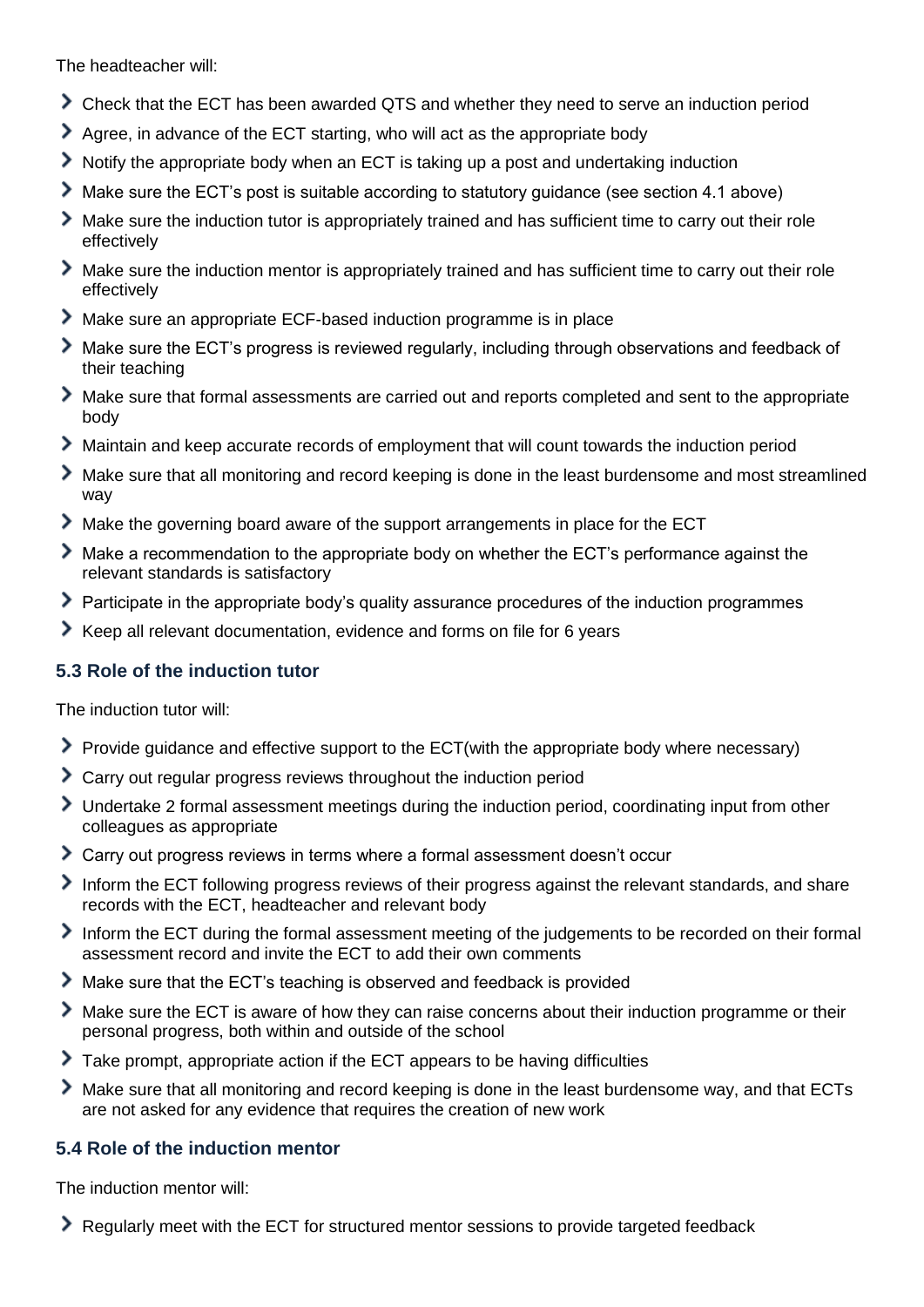The headteacher will:

- Check that the ECT has been awarded QTS and whether they need to serve an induction period
- Agree, in advance of the ECT starting, who will act as the appropriate body
- Notify the appropriate body when an ECT is taking up a post and undertaking induction
- Make sure the ECT's post is suitable according to statutory guidance (see section 4.1 above)
- Make sure the induction tutor is appropriately trained and has sufficient time to carry out their role effectively
- Make sure the induction mentor is appropriately trained and has sufficient time to carry out their role effectively
- Make sure an appropriate ECF-based induction programme is in place
- Make sure the ECT's progress is reviewed regularly, including through observations and feedback of their teaching
- Make sure that formal assessments are carried out and reports completed and sent to the appropriate body
- Maintain and keep accurate records of employment that will count towards the induction period
- Make sure that all monitoring and record keeping is done in the least burdensome and most streamlined way
- Make the governing board aware of the support arrangements in place for the ECT
- Make a recommendation to the appropriate body on whether the ECT's performance against the relevant standards is satisfactory
- Participate in the appropriate body's quality assurance procedures of the induction programmes
- Keep all relevant documentation, evidence and forms on file for 6 years

#### **5.3 Role of the induction tutor**

The induction tutor will:

- Provide guidance and effective support to the ECT(with the appropriate body where necessary)
- Carry out regular progress reviews throughout the induction period
- Undertake 2 formal assessment meetings during the induction period, coordinating input from other colleagues as appropriate
- Carry out progress reviews in terms where a formal assessment doesn't occur
- Inform the ECT following progress reviews of their progress against the relevant standards, and share records with the ECT, headteacher and relevant body
- Inform the ECT during the formal assessment meeting of the judgements to be recorded on their formal assessment record and invite the ECT to add their own comments
- Make sure that the ECT's teaching is observed and feedback is provided
- Make sure the ECT is aware of how they can raise concerns about their induction programme or their personal progress, both within and outside of the school
- Take prompt, appropriate action if the ECT appears to be having difficulties
- Make sure that all monitoring and record keeping is done in the least burdensome way, and that ECTs are not asked for any evidence that requires the creation of new work

#### **5.4 Role of the induction mentor**

The induction mentor will:

Regularly meet with the ECT for structured mentor sessions to provide targeted feedback